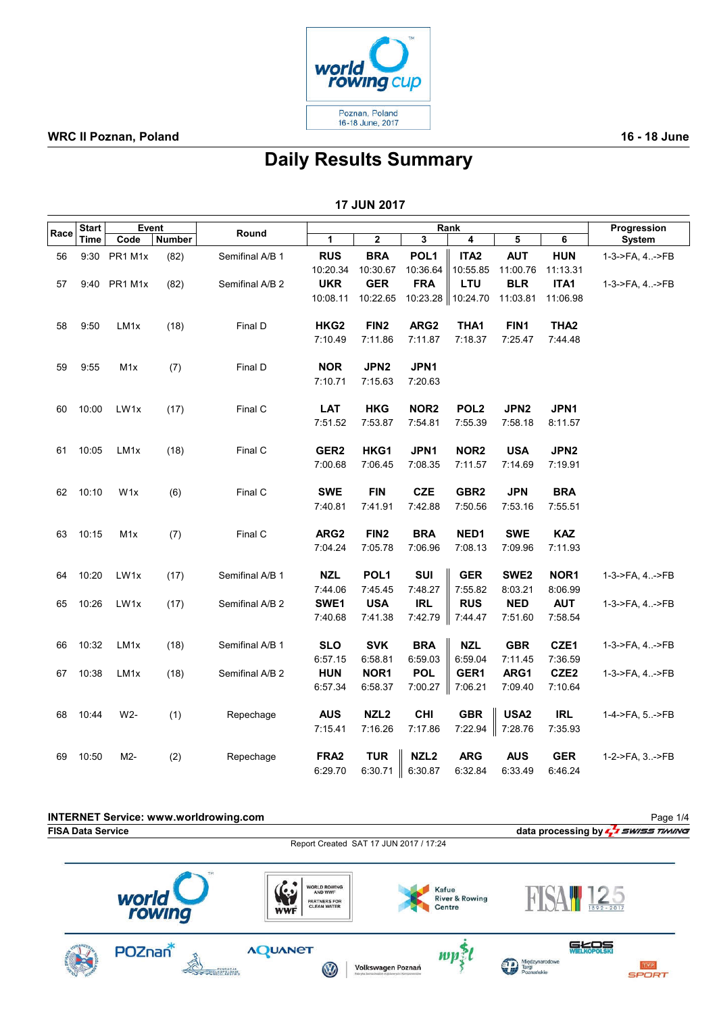

### WRC II Poznan, Poland 2008 and 2009 and 2009 and 2009 and 2009 and 2009 and 2009 and 2009 and 2009 and 2009 and 2009 and 2009 and 2009 and 2009 and 2009 and 2009 and 2009 and 2009 and 2009 and 2009 and 2009 and 2009 and 20

# Daily Results Summary

| <b>17 JUN 2017</b> |
|--------------------|
|--------------------|

| <b>Start</b> |       | Event            |        |                 | Rank             |                  |                         |                     |                  |                  | Progression    |  |
|--------------|-------|------------------|--------|-----------------|------------------|------------------|-------------------------|---------------------|------------------|------------------|----------------|--|
| Race         | Time  | Code             | Number | Round           | 1                | $\mathbf 2$      | $\overline{\mathbf{3}}$ | 4                   | 5                | 6                | System         |  |
| 56           |       | 9:30 PR1 M1x     | (82)   | Semifinal A/B 1 | <b>RUS</b>       | <b>BRA</b>       | POL <sub>1</sub>        | ITA <sub>2</sub>    | <b>AUT</b>       | <b>HUN</b>       | 1-3->FA, 4->FB |  |
|              |       |                  |        |                 | 10:20.34         | 10:30.67         | 10:36.64                | 10:55.85            | 11:00.76         | 11:13.31         |                |  |
| 57           |       | 9:40 PR1 M1x     | (82)   | Semifinal A/B 2 | <b>UKR</b>       | <b>GER</b>       | <b>FRA</b>              | LTU                 | <b>BLR</b>       | ITA1             | 1-3->FA, 4->FB |  |
|              |       |                  |        |                 | 10:08.11         | 10:22.65         |                         | 10:23.28   10:24.70 | 11:03.81         | 11:06.98         |                |  |
| 58           | 9:50  | LM1x             | (18)   | Final D         | HKG <sub>2</sub> | FIN <sub>2</sub> | ARG <sub>2</sub>        | THA1                | FIN1             | THA <sub>2</sub> |                |  |
|              |       |                  |        |                 | 7:10.49          | 7:11.86          | 7:11.87                 | 7:18.37             | 7:25.47          | 7:44.48          |                |  |
| 59           | 9:55  | M1x              | (7)    | Final D         | <b>NOR</b>       | JPN2             | JPN1                    |                     |                  |                  |                |  |
|              |       |                  |        |                 | 7:10.71          | 7:15.63          | 7:20.63                 |                     |                  |                  |                |  |
| 60           | 10:00 | LW <sub>1x</sub> | (17)   | Final C         | <b>LAT</b>       | <b>HKG</b>       | NOR <sub>2</sub>        | POL <sub>2</sub>    | JPN <sub>2</sub> | JPN1             |                |  |
|              |       |                  |        |                 | 7:51.52          | 7:53.87          | 7:54.81                 | 7:55.39             | 7:58.18          | 8:11.57          |                |  |
| 61           | 10:05 | LM <sub>1x</sub> | (18)   | Final C         | GER <sub>2</sub> | HKG1             | JPN <sub>1</sub>        | NOR <sub>2</sub>    | <b>USA</b>       | JPN <sub>2</sub> |                |  |
|              |       |                  |        |                 | 7:00.68          | 7:06.45          | 7:08.35                 | 7:11.57             | 7:14.69          | 7:19.91          |                |  |
| 62           | 10:10 | W <sub>1</sub> x | (6)    | Final C         | <b>SWE</b>       | <b>FIN</b>       | <b>CZE</b>              | GBR <sub>2</sub>    | <b>JPN</b>       | <b>BRA</b>       |                |  |
|              |       |                  |        |                 | 7:40.81          | 7:41.91          | 7:42.88                 | 7:50.56             | 7:53.16          | 7:55.51          |                |  |
| 63           | 10:15 | M <sub>1</sub> x | (7)    | Final C         | ARG <sub>2</sub> | FIN <sub>2</sub> | <b>BRA</b>              | NED1                | <b>SWE</b>       | <b>KAZ</b>       |                |  |
|              |       |                  |        |                 | 7:04.24          | 7:05.78          | 7:06.96                 | 7:08.13             | 7:09.96          | 7:11.93          |                |  |
| 64           | 10:20 | LW1x             | (17)   | Semifinal A/B 1 | <b>NZL</b>       | POL <sub>1</sub> | SUI                     | <b>GER</b>          | SWE <sub>2</sub> | NOR1             | 1-3->FA, 4->FB |  |
|              |       |                  |        |                 | 7:44.06          | 7:45.45          | 7:48.27                 | 7:55.82             | 8:03.21          | 8:06.99          |                |  |
| 65           | 10:26 | LW1x             | (17)   | Semifinal A/B 2 | SWE1             | <b>USA</b>       | <b>IRL</b>              | <b>RUS</b>          | <b>NED</b>       | <b>AUT</b>       | 1-3->FA, 4->FB |  |
|              |       |                  |        |                 | 7:40.68          | 7:41.38          | 7:42.79                 | 7:44.47             | 7:51.60          | 7:58.54          |                |  |
| 66           | 10:32 | LM <sub>1x</sub> | (18)   | Semifinal A/B 1 | <b>SLO</b>       | <b>SVK</b>       | <b>BRA</b>              | <b>NZL</b>          | <b>GBR</b>       | CZE1             | 1-3->FA, 4->FB |  |
|              |       |                  |        |                 | 6:57.15          | 6:58.81          | 6:59.03                 | 6:59.04             | 7:11.45          | 7:36.59          |                |  |
| 67           | 10:38 | LM1x             | (18)   | Semifinal A/B 2 | <b>HUN</b>       | NOR1             | <b>POL</b>              | GER1                | ARG1             | CZE2             | 1-3->FA, 4->FB |  |
|              |       |                  |        |                 | 6:57.34          | 6:58.37          | 7:00.27                 | 7:06.21             | 7:09.40          | 7:10.64          |                |  |
| 68           | 10:44 | $W2-$            | (1)    | Repechage       | <b>AUS</b>       | NZL <sub>2</sub> | <b>CHI</b>              | <b>GBR</b>          | USA <sub>2</sub> | <b>IRL</b>       | 1-4->FA, 5->FB |  |
|              |       |                  |        |                 | 7:15.41          | 7:16.26          | 7:17.86                 | 7:22.94             | 7:28.76          | 7:35.93          |                |  |
| 69           | 10:50 | M2-              | (2)    | Repechage       | FRA <sub>2</sub> | <b>TUR</b>       | NZL <sub>2</sub>        | <b>ARG</b>          | <b>AUS</b>       | <b>GER</b>       | 1-2->FA, 3->FB |  |
|              |       |                  |        |                 | 6:29.70          | 6:30.71          | 6:30.87                 | 6:32.84             | 6:33.49          | 6:46.24          |                |  |

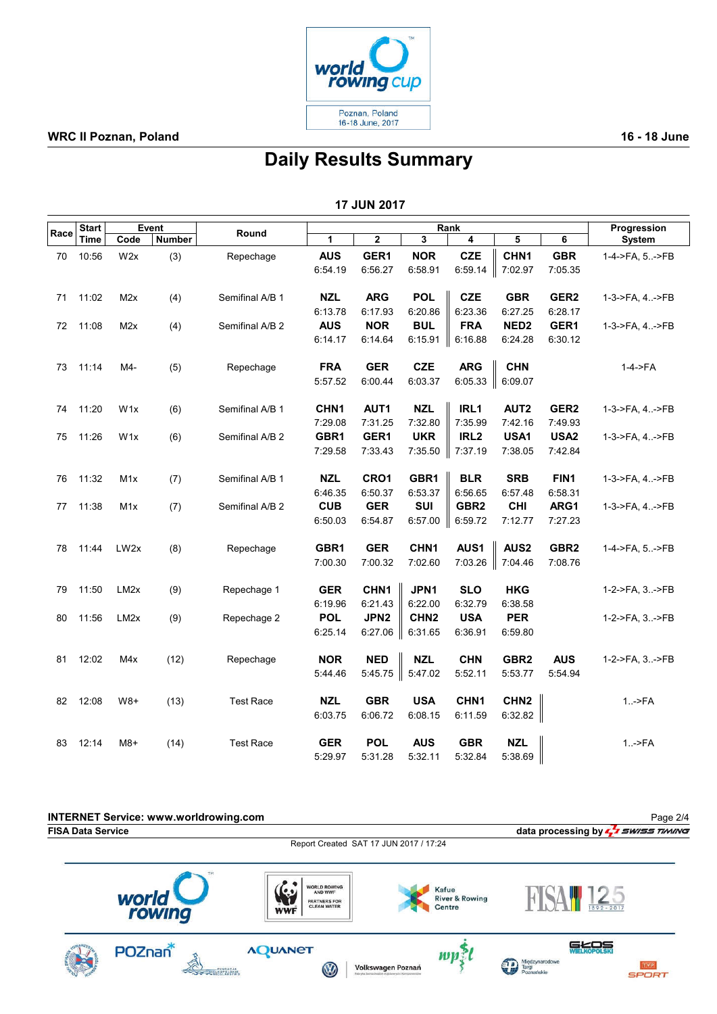

### WRC II Poznan, Poland 2008 and 2009 and 2009 and 2009 and 2009 and 2009 and 2009 and 2009 and 2009 and 2009 and 2009 and 2009 and 2009 and 2009 and 2009 and 2009 and 2009 and 2009 and 2009 and 2009 and 2009 and 2009 and 20

# Daily Results Summary

17 JUN 2017

|      | <b>Start</b> | Event             |        |                  | Rank             |                  |                  |                  |                  |                  | Progression      |  |
|------|--------------|-------------------|--------|------------------|------------------|------------------|------------------|------------------|------------------|------------------|------------------|--|
| Race | Time         | Code              | Number | Round            | 1                | 2                | 3                | 4                | 5                | 6                | System           |  |
| 70   | 10:56        | W2x               | (3)    | Repechage        | <b>AUS</b>       | GER1             | <b>NOR</b>       | <b>CZE</b>       | CHN1             | <b>GBR</b>       | 1-4->FA, 5->FB   |  |
|      |              |                   |        |                  | 6:54.19          | 6:56.27          | 6:58.91          | 6:59.14          | 7:02.97          | 7:05.35          |                  |  |
|      |              |                   |        |                  |                  |                  |                  |                  |                  |                  |                  |  |
| 71   | 11:02        | M <sub>2</sub> x  | (4)    | Semifinal A/B 1  | <b>NZL</b>       | <b>ARG</b>       | <b>POL</b>       | <b>CZE</b>       | <b>GBR</b>       | GER <sub>2</sub> | 1-3->FA, 4->FB   |  |
|      |              |                   |        |                  | 6:13.78          | 6:17.93          | 6:20.86          | 6:23.36          | 6:27.25          | 6:28.17          |                  |  |
| 72   | 11:08        | M <sub>2</sub> x  | (4)    | Semifinal A/B 2  | <b>AUS</b>       | <b>NOR</b>       | <b>BUL</b>       | <b>FRA</b>       | NED <sub>2</sub> | GER1             | 1-3->FA, 4->FB   |  |
|      |              |                   |        |                  | 6:14.17          | 6:14.64          | 6:15.91          | 6:16.88          | 6:24.28          | 6:30.12          |                  |  |
| 73   | 11:14        | M4-               | (5)    | Repechage        | <b>FRA</b>       | <b>GER</b>       | <b>CZE</b>       | <b>ARG</b>       | <b>CHN</b>       |                  | 1-4->FA          |  |
|      |              |                   |        |                  | 5:57.52          | 6:00.44          | 6:03.37          | 6:05.33          | 6:09.07          |                  |                  |  |
|      |              |                   |        |                  |                  |                  |                  |                  |                  |                  |                  |  |
| 74   | 11:20        | W1x               | (6)    | Semifinal A/B 1  | CHN <sub>1</sub> | AUT1             | <b>NZL</b>       | IRL1             | AUT <sub>2</sub> | GER <sub>2</sub> | 1-3->FA, 4.->FB  |  |
|      |              |                   |        |                  | 7:29.08          | 7:31.25          | 7:32.80          | 7:35.99          | 7:42.16          | 7:49.93          |                  |  |
| 75   | 11:26        | W <sub>1x</sub>   | (6)    | Semifinal A/B 2  | GBR1             | GER1             | <b>UKR</b>       | IRL <sub>2</sub> | USA1             | USA <sub>2</sub> | 1-3->FA, 4->FB   |  |
|      |              |                   |        |                  | 7:29.58          | 7:33.43          | 7:35.50          | 7:37.19          | 7:38.05          | 7:42.84          |                  |  |
|      |              |                   |        |                  |                  |                  |                  |                  |                  |                  |                  |  |
| 76   | 11:32        | M1x               | (7)    | Semifinal A/B 1  | <b>NZL</b>       | CRO1             | GBR1             | <b>BLR</b>       | <b>SRB</b>       | FIN1             | 1-3->FA, 4.->FB  |  |
|      |              |                   |        |                  | 6:46.35          | 6:50.37          | 6:53.37          | 6:56.65          | 6:57.48          | 6:58.31          |                  |  |
| 77   | 11:38        | M1x               | (7)    | Semifinal A/B 2  | <b>CUB</b>       | <b>GER</b>       | SUI              | GBR <sub>2</sub> | <b>CHI</b>       | ARG1             | 1-3->FA, 4->FB   |  |
|      |              |                   |        |                  | 6:50.03          | 6:54.87          | 6:57.00          | 6:59.72          | 7:12.77          | 7:27.23          |                  |  |
| 78   | 11:44        | LW2x              | (8)    | Repechage        | GBR1             | <b>GER</b>       | CHN <sub>1</sub> | AUS1             | AUS <sub>2</sub> | GBR <sub>2</sub> | 1-4->FA, 5. ->FB |  |
|      |              |                   |        |                  | 7:00.30          | 7:00.32          | 7:02.60          | 7:03.26          | 7:04.46          | 7:08.76          |                  |  |
|      |              |                   |        |                  |                  |                  |                  |                  |                  |                  |                  |  |
| 79   | 11:50        | LM <sub>2</sub> x | (9)    | Repechage 1      | <b>GER</b>       | CHN <sub>1</sub> | JPN1             | <b>SLO</b>       | <b>HKG</b>       |                  | 1-2->FA, 3. ->FB |  |
|      |              |                   |        |                  | 6:19.96          | 6:21.43          | 6:22.00          | 6:32.79          | 6:38.58          |                  |                  |  |
| 80   | 11:56        | LM <sub>2</sub> x | (9)    | Repechage 2      | <b>POL</b>       | JPN <sub>2</sub> | CHN <sub>2</sub> | <b>USA</b>       | <b>PER</b>       |                  | 1-2->FA, 3. ->FB |  |
|      |              |                   |        |                  | 6:25.14          | 6:27.06          | 6:31.65          | 6:36.91          | 6:59.80          |                  |                  |  |
|      |              |                   |        |                  |                  |                  |                  |                  |                  |                  |                  |  |
| 81   | 12:02        | M4x               | (12)   | Repechage        | <b>NOR</b>       | <b>NED</b>       | <b>NZL</b>       | <b>CHN</b>       | GBR <sub>2</sub> | <b>AUS</b>       | 1-2->FA, 3.->FB  |  |
|      |              |                   |        |                  | 5:44.46          | 5:45.75          | 5:47.02          | 5:52.11          | 5:53.77          | 5:54.94          |                  |  |
| 82   | 12:08        | $W8+$             | (13)   | <b>Test Race</b> | <b>NZL</b>       | <b>GBR</b>       | <b>USA</b>       | CHN <sub>1</sub> | CHN <sub>2</sub> |                  | $1.  \geq$ FA    |  |
|      |              |                   |        |                  | 6:03.75          | 6:06.72          | 6:08.15          | 6:11.59          | 6:32.82          |                  |                  |  |
|      |              |                   |        |                  |                  |                  |                  |                  |                  |                  |                  |  |
| 83   | 12:14        | $M8+$             | (14)   | <b>Test Race</b> | <b>GER</b>       | <b>POL</b>       | <b>AUS</b>       | <b>GBR</b>       | <b>NZL</b>       |                  | $1.  \geq$ FA    |  |
|      |              |                   |        |                  | 5:29.97          | 5:31.28          | 5:32.11          | 5:32.84          | 5:38.69          |                  |                  |  |

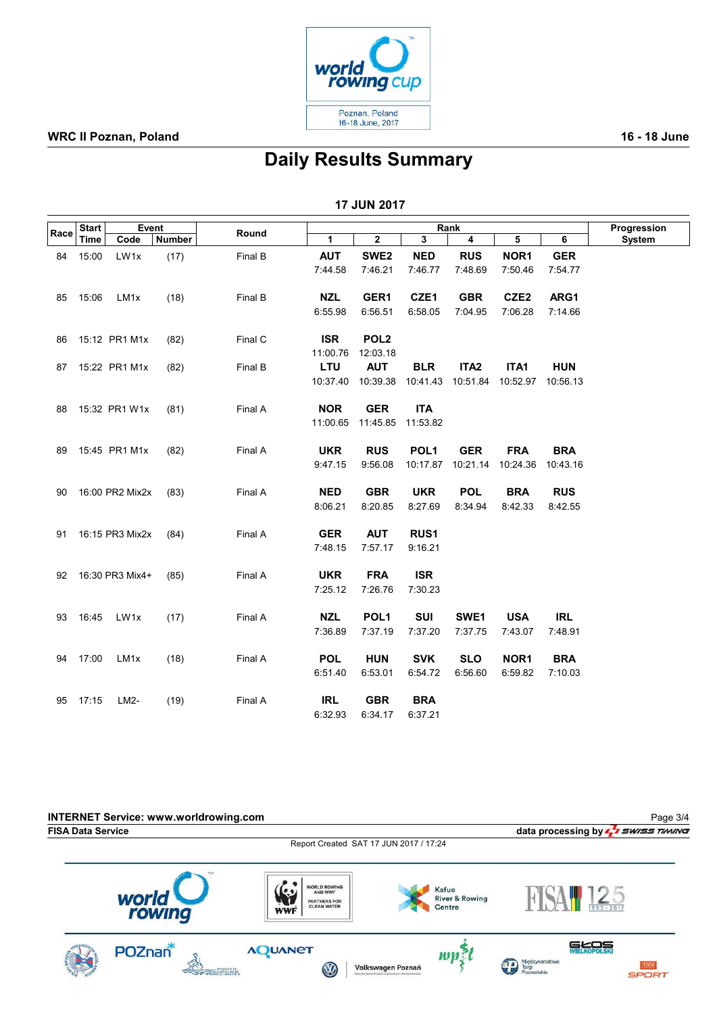

### WRC II Poznan, Poland 2008 and 2009 and 2009 and 2009 and 2009 and 2009 and 2009 and 2009 and 2009 and 2009 and 2009 and 2009 and 2009 and 2009 and 2009 and 2009 and 2009 and 2009 and 2009 and 2009 and 2009 and 2009 and 20

# Daily Results Summary

17 JUN 2017

|      | Event<br><b>Start</b> |                  |        | Round   |            |                         | Progression      |                         |                  |            |        |
|------|-----------------------|------------------|--------|---------|------------|-------------------------|------------------|-------------------------|------------------|------------|--------|
| Race | Time                  | Code             | Number |         | 1          | $\overline{\mathbf{2}}$ | 3                | $\overline{\mathbf{4}}$ | 5                | 6          | System |
| 84   | 15:00                 | LW1x             | (17)   | Final B | <b>AUT</b> | SWE <sub>2</sub>        | <b>NED</b>       | <b>RUS</b>              | NOR <sub>1</sub> | <b>GER</b> |        |
|      |                       |                  |        |         | 7:44.58    | 7:46.21                 | 7:46.77          | 7:48.69                 | 7:50.46          | 7:54.77    |        |
|      |                       |                  |        |         |            |                         |                  |                         |                  |            |        |
| 85   | 15:06                 | LM <sub>1x</sub> | (18)   | Final B | <b>NZL</b> | GER1                    | CZE1             | <b>GBR</b>              | CZE <sub>2</sub> | ARG1       |        |
|      |                       |                  |        |         | 6:55.98    | 6:56.51                 | 6:58.05          | 7:04.95                 | 7:06.28          | 7:14.66    |        |
|      |                       |                  |        |         |            |                         |                  |                         |                  |            |        |
| 86   |                       | 15:12 PR1 M1x    | (82)   | Final C | <b>ISR</b> | POL <sub>2</sub>        |                  |                         |                  |            |        |
|      |                       |                  |        |         | 11:00.76   | 12:03.18                |                  |                         |                  |            |        |
| 87   |                       | 15:22 PR1 M1x    | (82)   | Final B | LTU        | <b>AUT</b>              | <b>BLR</b>       | ITA <sub>2</sub>        | ITA1             | <b>HUN</b> |        |
|      |                       |                  |        |         | 10:37.40   | 10:39.38                | 10:41.43         | 10:51.84                | 10:52.97         | 10:56.13   |        |
|      |                       |                  |        |         |            |                         |                  |                         |                  |            |        |
| 88   |                       | 15:32 PR1 W1x    | (81)   | Final A | <b>NOR</b> | <b>GER</b>              | <b>ITA</b>       |                         |                  |            |        |
|      |                       |                  |        |         | 11:00.65   | 11:45.85                | 11:53.82         |                         |                  |            |        |
|      |                       |                  |        |         |            |                         |                  |                         |                  |            |        |
| 89   |                       | 15:45 PR1 M1x    | (82)   | Final A | <b>UKR</b> | <b>RUS</b>              | POL <sub>1</sub> | <b>GER</b>              | <b>FRA</b>       | <b>BRA</b> |        |
|      |                       |                  |        |         | 9:47.15    | 9:56.08                 | 10:17.87         | 10:21.14                | 10:24.36         | 10:43.16   |        |
|      |                       |                  |        | Final A | <b>NED</b> | <b>GBR</b>              | <b>UKR</b>       | <b>POL</b>              | <b>BRA</b>       | <b>RUS</b> |        |
| 90   |                       | 16:00 PR2 Mix2x  | (83)   |         | 8:06.21    | 8:20.85                 | 8:27.69          | 8:34.94                 | 8:42.33          | 8:42.55    |        |
|      |                       |                  |        |         |            |                         |                  |                         |                  |            |        |
| 91   |                       | 16:15 PR3 Mix2x  | (84)   | Final A | <b>GER</b> | <b>AUT</b>              | RUS1             |                         |                  |            |        |
|      |                       |                  |        |         | 7:48.15    | 7:57.17                 | 9:16.21          |                         |                  |            |        |
|      |                       |                  |        |         |            |                         |                  |                         |                  |            |        |
| 92   |                       | 16:30 PR3 Mix4+  | (85)   | Final A | <b>UKR</b> | <b>FRA</b>              | <b>ISR</b>       |                         |                  |            |        |
|      |                       |                  |        |         | 7:25.12    | 7:26.76                 | 7:30.23          |                         |                  |            |        |
|      |                       |                  |        |         |            |                         |                  |                         |                  |            |        |
| 93   | 16:45                 | LW1x             | (17)   | Final A | <b>NZL</b> | POL <sub>1</sub>        | <b>SUI</b>       | SWE1                    | <b>USA</b>       | <b>IRL</b> |        |
|      |                       |                  |        |         | 7:36.89    | 7:37.19                 | 7:37.20          | 7:37.75                 | 7:43.07          | 7:48.91    |        |
|      |                       |                  |        |         |            |                         |                  |                         |                  |            |        |
| 94   | 17:00                 | LM <sub>1x</sub> | (18)   | Final A | <b>POL</b> | <b>HUN</b>              | <b>SVK</b>       | <b>SLO</b>              | NOR <sub>1</sub> | <b>BRA</b> |        |
|      |                       |                  |        |         | 6:51.40    | 6:53.01                 | 6:54.72          | 6:56.60                 | 6:59.82          | 7:10.03    |        |
|      |                       |                  |        |         |            |                         |                  |                         |                  |            |        |
| 95   | 17:15                 | LM2-             | (19)   | Final A | <b>IRL</b> | <b>GBR</b>              | <b>BRA</b>       |                         |                  |            |        |
|      |                       |                  |        |         | 6:32.93    | 6:34.17                 | 6:37.21          |                         |                  |            |        |